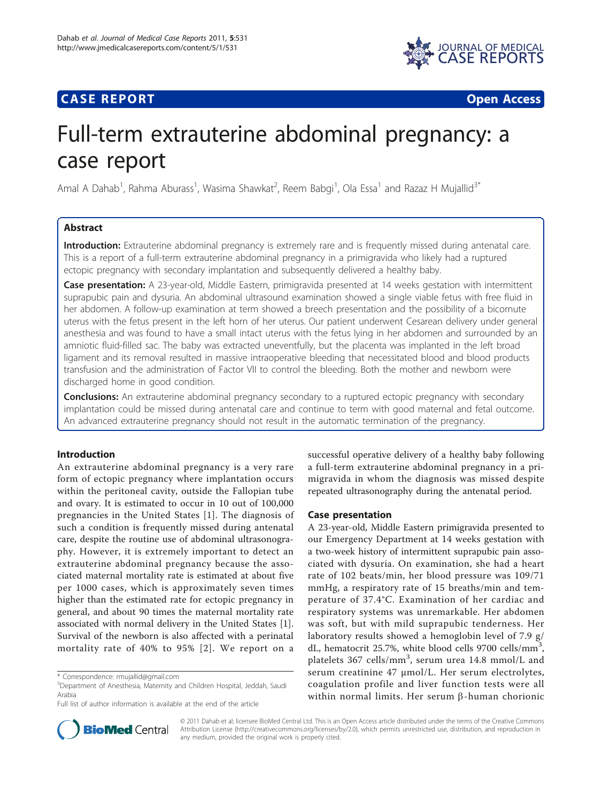



# Full-term extrauterine abdominal pregnancy: a case report

Amal A Dahab<sup>1</sup>, Rahma Aburass<sup>1</sup>, Wasima Shawkat<sup>2</sup>, Reem Babgi<sup>1</sup>, Ola Essa<sup>1</sup> and Razaz H Mujallid<sup>3\*</sup>

# Abstract

Introduction: Extrauterine abdominal pregnancy is extremely rare and is frequently missed during antenatal care. This is a report of a full-term extrauterine abdominal pregnancy in a primigravida who likely had a ruptured ectopic pregnancy with secondary implantation and subsequently delivered a healthy baby.

Case presentation: A 23-year-old, Middle Eastern, primigravida presented at 14 weeks gestation with intermittent suprapubic pain and dysuria. An abdominal ultrasound examination showed a single viable fetus with free fluid in her abdomen. A follow-up examination at term showed a breech presentation and the possibility of a bicornute uterus with the fetus present in the left horn of her uterus. Our patient underwent Cesarean delivery under general anesthesia and was found to have a small intact uterus with the fetus lying in her abdomen and surrounded by an amniotic fluid-filled sac. The baby was extracted uneventfully, but the placenta was implanted in the left broad ligament and its removal resulted in massive intraoperative bleeding that necessitated blood and blood products transfusion and the administration of Factor VII to control the bleeding. Both the mother and newborn were discharged home in good condition.

**Conclusions:** An extrauterine abdominal pregnancy secondary to a ruptured ectopic pregnancy with secondary implantation could be missed during antenatal care and continue to term with good maternal and fetal outcome. An advanced extrauterine pregnancy should not result in the automatic termination of the pregnancy.

# Introduction

An extrauterine abdominal pregnancy is a very rare form of ectopic pregnancy where implantation occurs within the peritoneal cavity, outside the Fallopian tube and ovary. It is estimated to occur in 10 out of 100,000 pregnancies in the United States [[1\]](#page-3-0). The diagnosis of such a condition is frequently missed during antenatal care, despite the routine use of abdominal ultrasonography. However, it is extremely important to detect an extrauterine abdominal pregnancy because the associated maternal mortality rate is estimated at about five per 1000 cases, which is approximately seven times higher than the estimated rate for ectopic pregnancy in general, and about 90 times the maternal mortality rate associated with normal delivery in the United States [\[1](#page-3-0)]. Survival of the newborn is also affected with a perinatal mortality rate of 40% to 95% [[2\]](#page-3-0). We report on a

successful operative delivery of a healthy baby following a full-term extrauterine abdominal pregnancy in a primigravida in whom the diagnosis was missed despite repeated ultrasonography during the antenatal period.

## Case presentation

A 23-year-old, Middle Eastern primigravida presented to our Emergency Department at 14 weeks gestation with a two-week history of intermittent suprapubic pain associated with dysuria. On examination, she had a heart rate of 102 beats/min, her blood pressure was 109/71 mmHg, a respiratory rate of 15 breaths/min and temperature of 37.4°C. Examination of her cardiac and respiratory systems was unremarkable. Her abdomen was soft, but with mild suprapubic tenderness. Her laboratory results showed a hemoglobin level of 7.9 g/ dL, hematocrit 25.7%, white blood cells 9700 cells/mm<sup>3</sup>, platelets 367 cells/mm<sup>3</sup>, serum urea 14.8 mmol/L and serum creatinine 47 μmol/L. Her serum electrolytes, coagulation profile and liver function tests were all within normal limits. Her serum  $\beta$ -human chorionic



© 2011 Dahab et al; licensee BioMed Central Ltd. This is an Open Access article distributed under the terms of the Creative Commons Attribution License [\(http://creativecommons.org/licenses/by/2.0](http://creativecommons.org/licenses/by/2.0)), which permits unrestricted use, distribution, and reproduction in any medium, provided the original work is properly cited.

<sup>\*</sup> Correspondence: [rmujallid@gmail.com](mailto:rmujallid@gmail.com)

<sup>&</sup>lt;sup>3</sup>Department of Anesthesia, Maternity and Children Hospital, Jeddah, Saudi Arabia

Full list of author information is available at the end of the article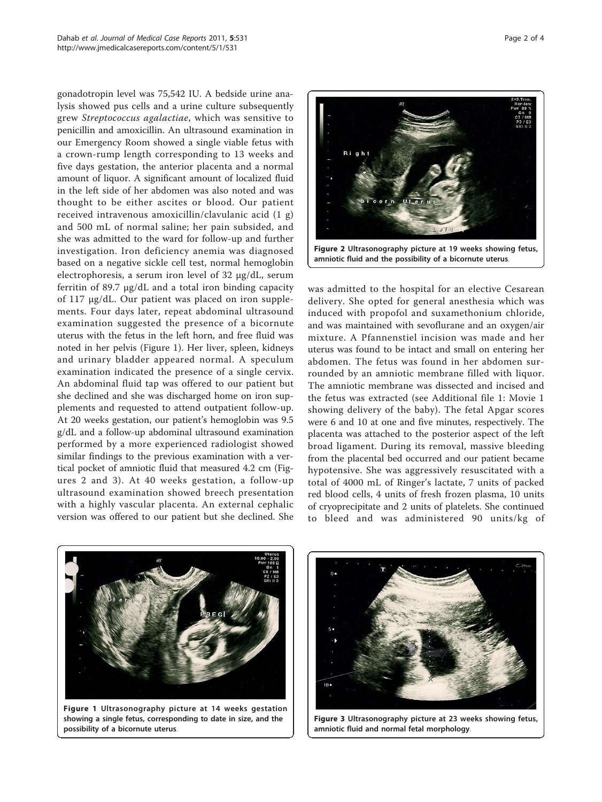gonadotropin level was 75,542 IU. A bedside urine analysis showed pus cells and a urine culture subsequently grew Streptococcus agalactiae, which was sensitive to penicillin and amoxicillin. An ultrasound examination in our Emergency Room showed a single viable fetus with a crown-rump length corresponding to 13 weeks and five days gestation, the anterior placenta and a normal amount of liquor. A significant amount of localized fluid in the left side of her abdomen was also noted and was thought to be either ascites or blood. Our patient received intravenous amoxicillin/clavulanic acid (1 g) and 500 mL of normal saline; her pain subsided, and she was admitted to the ward for follow-up and further investigation. Iron deficiency anemia was diagnosed based on a negative sickle cell test, normal hemoglobin electrophoresis, a serum iron level of 32 μg/dL, serum ferritin of 89.7 μg/dL and a total iron binding capacity of 117 μg/dL. Our patient was placed on iron supplements. Four days later, repeat abdominal ultrasound examination suggested the presence of a bicornute uterus with the fetus in the left horn, and free fluid was noted in her pelvis (Figure 1). Her liver, spleen, kidneys and urinary bladder appeared normal. A speculum examination indicated the presence of a single cervix. An abdominal fluid tap was offered to our patient but she declined and she was discharged home on iron supplements and requested to attend outpatient follow-up. At 20 weeks gestation, our patient's hemoglobin was 9.5 g/dL and a follow-up abdominal ultrasound examination performed by a more experienced radiologist showed similar findings to the previous examination with a vertical pocket of amniotic fluid that measured 4.2 cm (Figures 2 and 3). At 40 weeks gestation, a follow-up ultrasound examination showed breech presentation with a highly vascular placenta. An external cephalic version was offered to our patient but she declined. She



was admitted to the hospital for an elective Cesarean delivery. She opted for general anesthesia which was induced with propofol and suxamethonium chloride, and was maintained with sevoflurane and an oxygen/air mixture. A Pfannenstiel incision was made and her uterus was found to be intact and small on entering her abdomen. The fetus was found in her abdomen surrounded by an amniotic membrane filled with liquor. The amniotic membrane was dissected and incised and the fetus was extracted (see Additional file [1:](#page-3-0) Movie 1 showing delivery of the baby). The fetal Apgar scores were 6 and 10 at one and five minutes, respectively. The placenta was attached to the posterior aspect of the left broad ligament. During its removal, massive bleeding from the placental bed occurred and our patient became hypotensive. She was aggressively resuscitated with a total of 4000 mL of Ringer's lactate, 7 units of packed red blood cells, 4 units of fresh frozen plasma, 10 units of cryoprecipitate and 2 units of platelets. She continued to bleed and was administered 90 units/kg of



Figure 1 Ultrasonography picture at 14 weeks gestation showing a single fetus, corresponding to date in size, and the possibility of a bicornute uterus.



Figure 3 Ultrasonography picture at 23 weeks showing fetus, amniotic fluid and normal fetal morphology.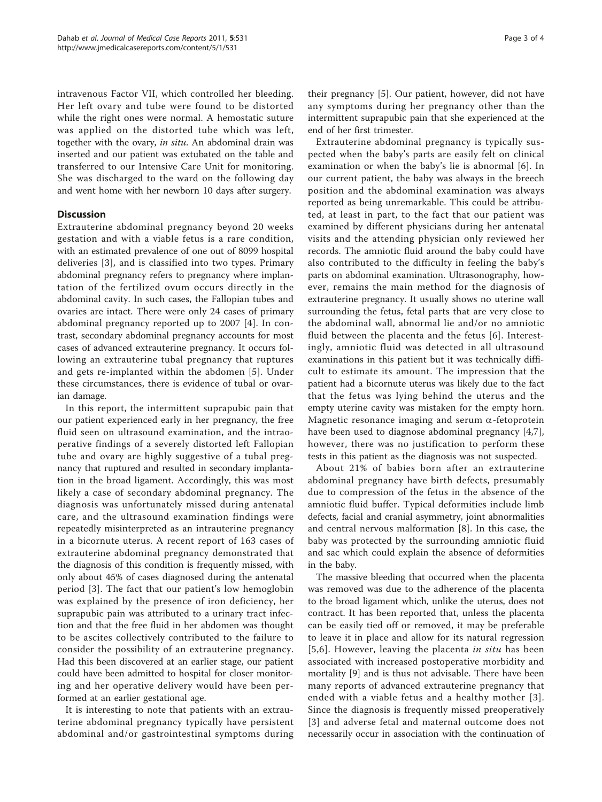intravenous Factor VII, which controlled her bleeding. Her left ovary and tube were found to be distorted while the right ones were normal. A hemostatic suture was applied on the distorted tube which was left, together with the ovary, in situ. An abdominal drain was inserted and our patient was extubated on the table and transferred to our Intensive Care Unit for monitoring. She was discharged to the ward on the following day and went home with her newborn 10 days after surgery.

# **Discussion**

Extrauterine abdominal pregnancy beyond 20 weeks gestation and with a viable fetus is a rare condition, with an estimated prevalence of one out of 8099 hospital deliveries [[3\]](#page-3-0), and is classified into two types. Primary abdominal pregnancy refers to pregnancy where implantation of the fertilized ovum occurs directly in the abdominal cavity. In such cases, the Fallopian tubes and ovaries are intact. There were only 24 cases of primary abdominal pregnancy reported up to 2007 [[4\]](#page-3-0). In contrast, secondary abdominal pregnancy accounts for most cases of advanced extrauterine pregnancy. It occurs following an extrauterine tubal pregnancy that ruptures and gets re-implanted within the abdomen [\[5\]](#page-3-0). Under these circumstances, there is evidence of tubal or ovarian damage.

In this report, the intermittent suprapubic pain that our patient experienced early in her pregnancy, the free fluid seen on ultrasound examination, and the intraoperative findings of a severely distorted left Fallopian tube and ovary are highly suggestive of a tubal pregnancy that ruptured and resulted in secondary implantation in the broad ligament. Accordingly, this was most likely a case of secondary abdominal pregnancy. The diagnosis was unfortunately missed during antenatal care, and the ultrasound examination findings were repeatedly misinterpreted as an intrauterine pregnancy in a bicornute uterus. A recent report of 163 cases of extrauterine abdominal pregnancy demonstrated that the diagnosis of this condition is frequently missed, with only about 45% of cases diagnosed during the antenatal period [[3\]](#page-3-0). The fact that our patient's low hemoglobin was explained by the presence of iron deficiency, her suprapubic pain was attributed to a urinary tract infection and that the free fluid in her abdomen was thought to be ascites collectively contributed to the failure to consider the possibility of an extrauterine pregnancy. Had this been discovered at an earlier stage, our patient could have been admitted to hospital for closer monitoring and her operative delivery would have been performed at an earlier gestational age.

It is interesting to note that patients with an extrauterine abdominal pregnancy typically have persistent abdominal and/or gastrointestinal symptoms during

their pregnancy [[5\]](#page-3-0). Our patient, however, did not have any symptoms during her pregnancy other than the intermittent suprapubic pain that she experienced at the end of her first trimester.

Extrauterine abdominal pregnancy is typically suspected when the baby's parts are easily felt on clinical examination or when the baby's lie is abnormal [[6\]](#page-3-0). In our current patient, the baby was always in the breech position and the abdominal examination was always reported as being unremarkable. This could be attributed, at least in part, to the fact that our patient was examined by different physicians during her antenatal visits and the attending physician only reviewed her records. The amniotic fluid around the baby could have also contributed to the difficulty in feeling the baby's parts on abdominal examination. Ultrasonography, however, remains the main method for the diagnosis of extrauterine pregnancy. It usually shows no uterine wall surrounding the fetus, fetal parts that are very close to the abdominal wall, abnormal lie and/or no amniotic fluid between the placenta and the fetus [\[6](#page-3-0)]. Interestingly, amniotic fluid was detected in all ultrasound examinations in this patient but it was technically difficult to estimate its amount. The impression that the patient had a bicornute uterus was likely due to the fact that the fetus was lying behind the uterus and the empty uterine cavity was mistaken for the empty horn. Magnetic resonance imaging and serum  $\alpha$ -fetoprotein have been used to diagnose abdominal pregnancy [[4,7](#page-3-0)], however, there was no justification to perform these tests in this patient as the diagnosis was not suspected.

About 21% of babies born after an extrauterine abdominal pregnancy have birth defects, presumably due to compression of the fetus in the absence of the amniotic fluid buffer. Typical deformities include limb defects, facial and cranial asymmetry, joint abnormalities and central nervous malformation [[8\]](#page-3-0). In this case, the baby was protected by the surrounding amniotic fluid and sac which could explain the absence of deformities in the baby.

The massive bleeding that occurred when the placenta was removed was due to the adherence of the placenta to the broad ligament which, unlike the uterus, does not contract. It has been reported that, unless the placenta can be easily tied off or removed, it may be preferable to leave it in place and allow for its natural regression [[5](#page-3-0),[6](#page-3-0)]. However, leaving the placenta in situ has been associated with increased postoperative morbidity and mortality [[9\]](#page-3-0) and is thus not advisable. There have been many reports of advanced extrauterine pregnancy that ended with a viable fetus and a healthy mother [[3\]](#page-3-0). Since the diagnosis is frequently missed preoperatively [[3](#page-3-0)] and adverse fetal and maternal outcome does not necessarily occur in association with the continuation of